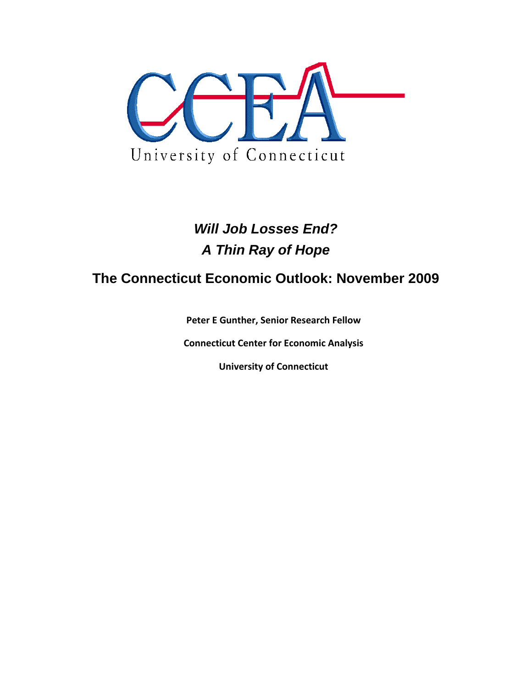

# *Will Job Losses End? A Thin Ray of Hope*

## **The Connecticut Economic Outlook: November 2009**

**Peter E Gunther, Senior Research Fellow**

**Connecticut Center for Economic Analysis**

**University of Connecticut**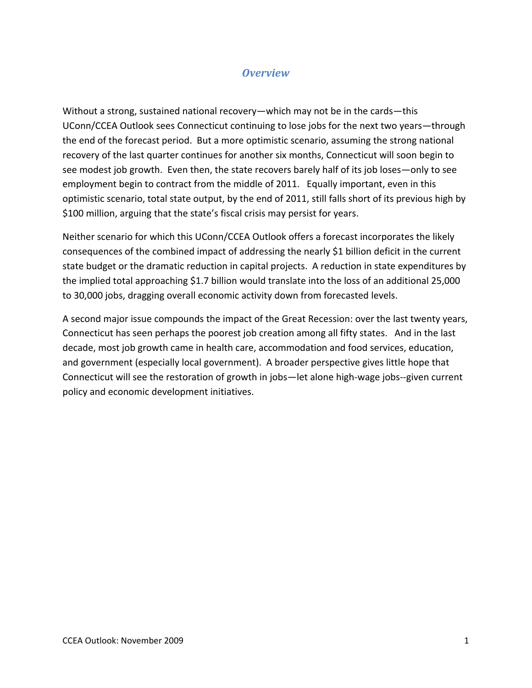## *Overview*

Without a strong, sustained national recovery—which may not be in the cards—this UConn/CCEA Outlook sees Connecticut continuing to lose jobs for the next two years—through the end of the forecast period. But a more optimistic scenario, assuming the strong national recovery of the last quarter continues for another six months, Connecticut will soon begin to see modest job growth. Even then, the state recovers barely half of its job loses—only to see employment begin to contract from the middle of 2011. Equally important, even in this optimistic scenario, total state output, by the end of 2011, still falls short of its previous high by \$100 million, arguing that the state's fiscal crisis may persist for years.

Neither scenario for which this UConn/CCEA Outlook offers a forecast incorporates the likely consequences of the combined impact of addressing the nearly \$1 billion deficit in the current state budget or the dramatic reduction in capital projects. A reduction in state expenditures by the implied total approaching \$1.7 billion would translate into the loss of an additional 25,000 to 30,000 jobs, dragging overall economic activity down from forecasted levels.

A second major issue compounds the impact of the Great Recession: over the last twenty years, Connecticut has seen perhaps the poorest job creation among all fifty states. And in the last decade, most job growth came in health care, accommodation and food services, education, and government (especially local government). A broader perspective gives little hope that Connecticut will see the restoration of growth in jobs—let alone high‐wage jobs‐‐given current policy and economic development initiatives.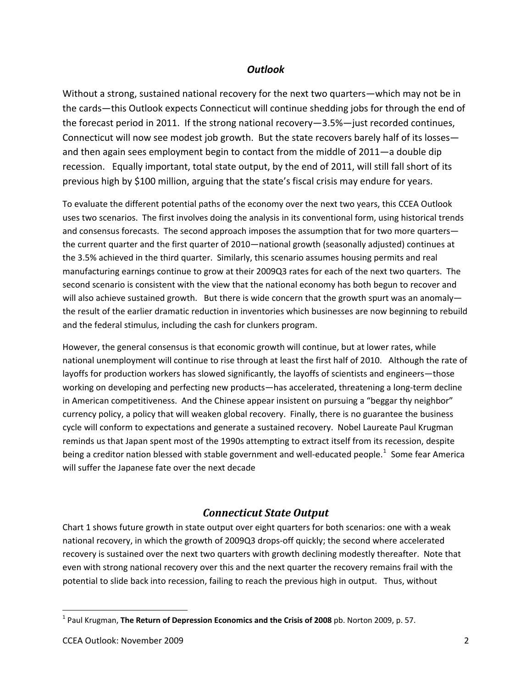#### *Outlook*

Without a strong, sustained national recovery for the next two quarters—which may not be in the cards—this Outlook expects Connecticut will continue shedding jobs for through the end of the forecast period in 2011. If the strong national recovery—3.5%—just recorded continues, Connecticut will now see modest job growth. But the state recovers barely half of its losses and then again sees employment begin to contact from the middle of 2011—a double dip recession. Equally important, total state output, by the end of 2011, will still fall short of its previous high by \$100 million, arguing that the state's fiscal crisis may endure for years.

To evaluate the different potential paths of the economy over the next two years, this CCEA Outlook uses two scenarios. The first involves doing the analysis in its conventional form, using historical trends and consensus forecasts. The second approach imposes the assumption that for two more quarters the current quarter and the first quarter of 2010—national growth (seasonally adjusted) continues at the 3.5% achieved in the third quarter. Similarly, this scenario assumes housing permits and real manufacturing earnings continue to grow at their 2009Q3 rates for each of the next two quarters. The second scenario is consistent with the view that the national economy has both begun to recover and will also achieve sustained growth. But there is wide concern that the growth spurt was an anomaly the result of the earlier dramatic reduction in inventories which businesses are now beginning to rebuild and the federal stimulus, including the cash for clunkers program.

However, the general consensus is that economic growth will continue, but at lower rates, while national unemployment will continue to rise through at least the first half of 2010. Although the rate of layoffs for production workers has slowed significantly, the layoffs of scientists and engineers—those working on developing and perfecting new products—has accelerated, threatening a long-term decline in American competitiveness. And the Chinese appear insistent on pursuing a "beggar thy neighbor" currency policy, a policy that will weaken global recovery. Finally, there is no guarantee the business cycle will conform to expectations and generate a sustained recovery. Nobel Laureate Paul Krugman reminds us that Japan spent most of the 1990s attempting to extract itself from its recession, despite being a creditor nation blessed with stable government and well-educated people.<sup>[1](#page-2-0)</sup> Some fear America will suffer the Japanese fate over the next decade

### *Connecticut State Output*

Chart 1 shows future growth in state output over eight quarters for both scenarios: one with a weak national recovery, in which the growth of 2009Q3 drops-off quickly; the second where accelerated recovery is sustained over the next two quarters with growth declining modestly thereafter. Note that even with strong national recovery over this and the next quarter the recovery remains frail with the potential to slide back into recession, failing to reach the previous high in output. Thus, without

<span id="page-2-0"></span><sup>1</sup> Paul Krugman, **The Return of Depression Economics and the Crisis of 2008** pb. Norton 2009, p. 57.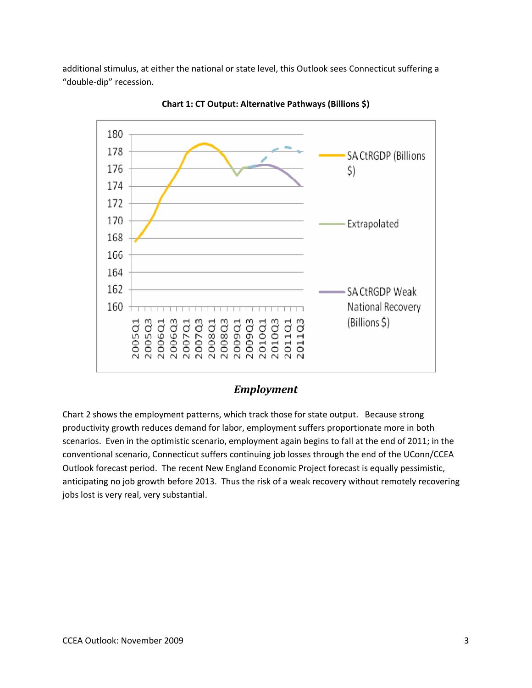additional stimulus, at either the national or state level, this Outlook sees Connecticut suffering a "double‐dip" recession.



**Chart 1: CT Output: Alternative Pathways (Billions \$)**

#### *Employment*

Chart 2 shows the employment patterns, which track those for state output. Because strong productivity growth reduces demand for labor, employment suffers proportionate more in both scenarios. Even in the optimistic scenario, employment again begins to fall at the end of 2011; in the conventional scenario, Connecticut suffers continuing job losses through the end of the UConn/CCEA Outlook forecast period. The recent New England Economic Project forecast is equally pessimistic, anticipating no job growth before 2013. Thus the risk of a weak recovery without remotely recovering jobs lost is very real, very substantial.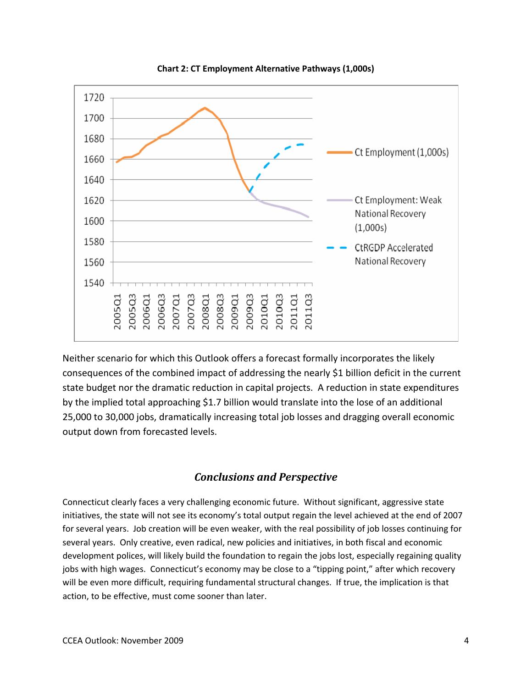

**Chart 2: CT Employment Alternative Pathways (1,000s)**

Neither scenario for which this Outlook offers a forecast formally incorporates the likely consequences of the combined impact of addressing the nearly \$1 billion deficit in the current state budget nor the dramatic reduction in capital projects. A reduction in state expenditures by the implied total approaching \$1.7 billion would translate into the lose of an additional 25,000 to 30,000 jobs, dramatically increasing total job losses and dragging overall economic output down from forecasted levels.

#### *Conclusions and Perspective*

Connecticut clearly faces a very challenging economic future. Without significant, aggressive state initiatives, the state will not see its economy's total output regain the level achieved at the end of 2007 for several years. Job creation will be even weaker, with the real possibility of job losses continuing for several years. Only creative, even radical, new policies and initiatives, in both fiscal and economic development polices, will likely build the foundation to regain the jobs lost, especially regaining quality jobs with high wages. Connecticut's economy may be close to a "tipping point," after which recovery will be even more difficult, requiring fundamental structural changes. If true, the implication is that action, to be effective, must come sooner than later.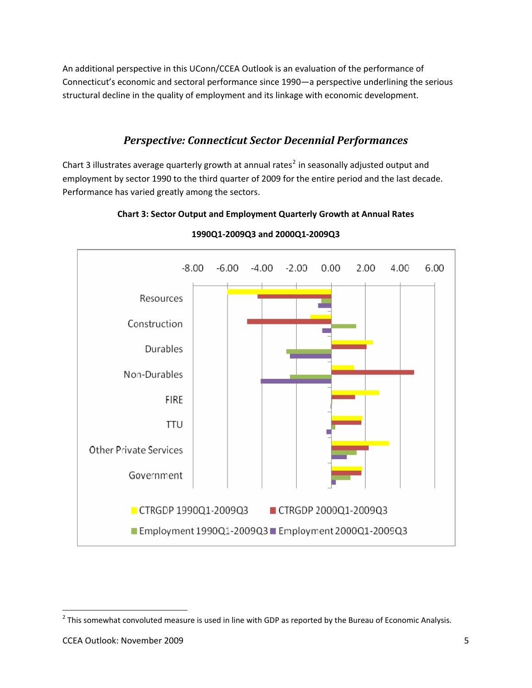An additional perspective in this UConn/CCEA Outlook is an evaluation of the performance of Connecticut's economic and sectoral performance since 1990—a perspective underlining the serious structural decline in the quality of employment and its linkage with economic development.

## *Perspective: Connecticut Sector Decennial Performances*

Chart 3 illustrates average quarterly growth at annual rates<sup>[2](#page-5-0)</sup> in seasonally adjusted output and employment by sector 1990 to the third quarter of 2009 for the entire period and the last decade. Performance has varied greatly among the sectors.



#### **Chart 3: Sector Output and Employment Quarterly Growth at Annual Rates**

<span id="page-5-0"></span> $<sup>2</sup>$  This somewhat convoluted measure is used in line with GDP as reported by the Bureau of Economic Analysis.</sup>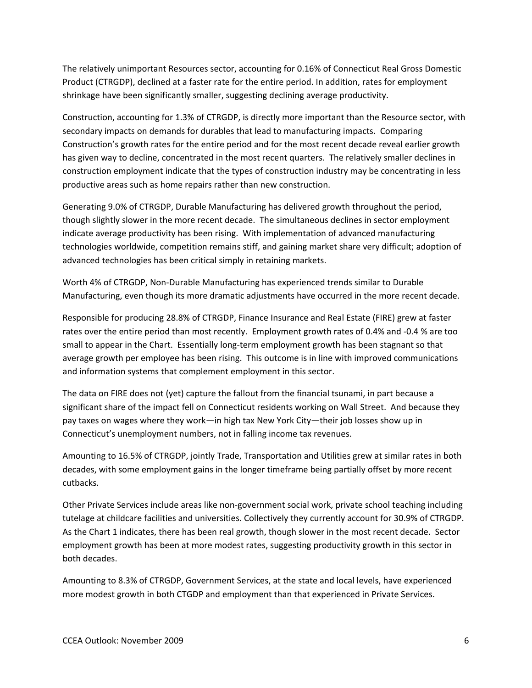The relatively unimportant Resources sector, accounting for 0.16% of Connecticut Real Gross Domestic Product (CTRGDP), declined at a faster rate for the entire period. In addition, rates for employment shrinkage have been significantly smaller, suggesting declining average productivity.

Construction, accounting for 1.3% of CTRGDP, is directly more important than the Resource sector, with secondary impacts on demands for durables that lead to manufacturing impacts. Comparing Construction's growth rates for the entire period and for the most recent decade reveal earlier growth has given way to decline, concentrated in the most recent quarters. The relatively smaller declines in construction employment indicate that the types of construction industry may be concentrating in less productive areas such as home repairs rather than new construction.

Generating 9.0% of CTRGDP, Durable Manufacturing has delivered growth throughout the period, though slightly slower in the more recent decade. The simultaneous declines in sector employment indicate average productivity has been rising. With implementation of advanced manufacturing technologies worldwide, competition remains stiff, and gaining market share very difficult; adoption of advanced technologies has been critical simply in retaining markets.

Worth 4% of CTRGDP, Non‐Durable Manufacturing has experienced trends similar to Durable Manufacturing, even though its more dramatic adjustments have occurred in the more recent decade.

Responsible for producing 28.8% of CTRGDP, Finance Insurance and Real Estate (FIRE) grew at faster rates over the entire period than most recently. Employment growth rates of 0.4% and ‐0.4 % are too small to appear in the Chart. Essentially long‐term employment growth has been stagnant so that average growth per employee has been rising. This outcome is in line with improved communications and information systems that complement employment in this sector.

The data on FIRE does not (yet) capture the fallout from the financial tsunami, in part because a significant share of the impact fell on Connecticut residents working on Wall Street. And because they pay taxes on wages where they work—in high tax New York City—their job losses show up in Connecticut's unemployment numbers, not in falling income tax revenues.

Amounting to 16.5% of CTRGDP, jointly Trade, Transportation and Utilities grew at similar rates in both decades, with some employment gains in the longer timeframe being partially offset by more recent cutbacks.

Other Private Services include areas like non‐government social work, private school teaching including tutelage at childcare facilities and universities. Collectively they currently account for 30.9% of CTRGDP. As the Chart 1 indicates, there has been real growth, though slower in the most recent decade. Sector employment growth has been at more modest rates, suggesting productivity growth in this sector in both decades.

Amounting to 8.3% of CTRGDP, Government Services, at the state and local levels, have experienced more modest growth in both CTGDP and employment than that experienced in Private Services.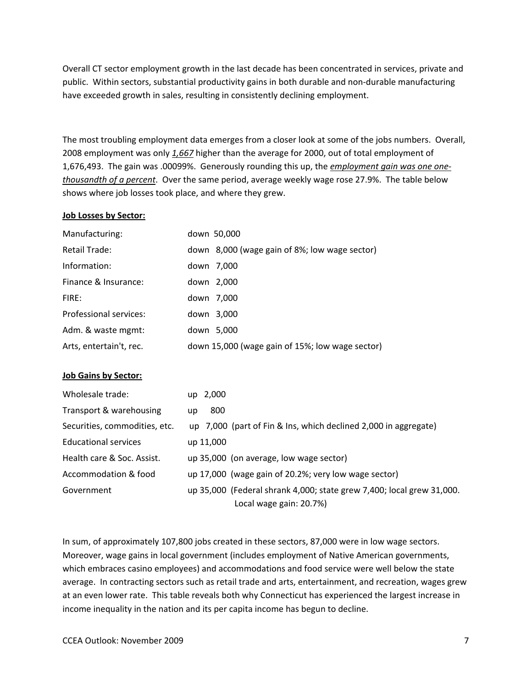Overall CT sector employment growth in the last decade has been concentrated in services, private and public. Within sectors, substantial productivity gains in both durable and non-durable manufacturing have exceeded growth in sales, resulting in consistently declining employment.

The most troubling employment data emerges from a closer look at some of the jobs numbers. Overall, 2008 employment was only *1,667* higher than the average for 2000, out of total employment of 1,676,493. The gain was .00099%. Generously rounding this up, the *employment gain was one one‐ thousandth of a percent*. Over the same period, average weekly wage rose 27.9%. The table below shows where job losses took place, and where they grew.

#### **Job Losses by Sector:**

| Manufacturing:          | down 50,000                                     |
|-------------------------|-------------------------------------------------|
| Retail Trade:           | down 8,000 (wage gain of 8%; low wage sector)   |
| Information:            | down 7,000                                      |
| Finance & Insurance:    | down 2,000                                      |
| FIRF:                   | down 7,000                                      |
| Professional services:  | down 3,000                                      |
| Adm. & waste mgmt:      | down 5,000                                      |
| Arts, entertain't, rec. | down 15,000 (wage gain of 15%; low wage sector) |

#### **Job Gains by Sector:**

| Wholesale trade:              | up 2,000                                                              |
|-------------------------------|-----------------------------------------------------------------------|
| Transport & warehousing       | 800<br>up                                                             |
| Securities, commodities, etc. | up 7,000 (part of Fin & Ins, which declined 2,000 in aggregate)       |
| <b>Educational services</b>   | up 11,000                                                             |
| Health care & Soc. Assist.    | up 35,000 (on average, low wage sector)                               |
| Accommodation & food          | up 17,000 (wage gain of 20.2%; very low wage sector)                  |
| Government                    | up 35,000 (Federal shrank 4,000; state grew 7,400; local grew 31,000. |
|                               | Local wage gain: 20.7%)                                               |

In sum, of approximately 107,800 jobs created in these sectors, 87,000 were in low wage sectors. Moreover, wage gains in local government (includes employment of Native American governments, which embraces casino employees) and accommodations and food service were well below the state average. In contracting sectors such as retail trade and arts, entertainment, and recreation, wages grew at an even lower rate. This table reveals both why Connecticut has experienced the largest increase in income inequality in the nation and its per capita income has begun to decline.